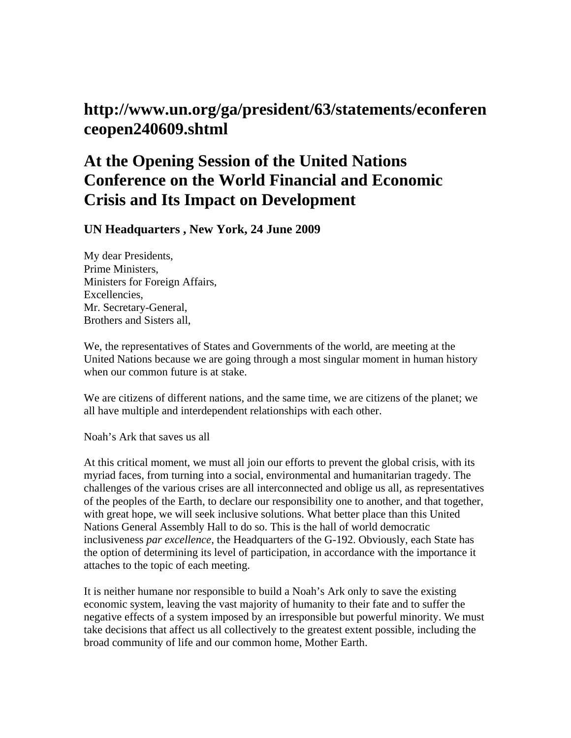## **http://www.un.org/ga/president/63/statements/econferen ceopen240609.shtml**

## **At the Opening Session of the United Nations Conference on the World Financial and Economic Crisis and Its Impact on Development**

**UN Headquarters , New York, 24 June 2009** 

My dear Presidents, Prime Ministers, Ministers for Foreign Affairs, Excellencies, Mr. Secretary-General, Brothers and Sisters all,

We, the representatives of States and Governments of the world, are meeting at the United Nations because we are going through a most singular moment in human history when our common future is at stake.

We are citizens of different nations, and the same time, we are citizens of the planet; we all have multiple and interdependent relationships with each other.

Noah's Ark that saves us all

At this critical moment, we must all join our efforts to prevent the global crisis, with its myriad faces, from turning into a social, environmental and humanitarian tragedy. The challenges of the various crises are all interconnected and oblige us all, as representatives of the peoples of the Earth, to declare our responsibility one to another, and that together, with great hope, we will seek inclusive solutions. What better place than this United Nations General Assembly Hall to do so. This is the hall of world democratic inclusiveness *par excellence*, the Headquarters of the G-192. Obviously, each State has the option of determining its level of participation, in accordance with the importance it attaches to the topic of each meeting.

It is neither humane nor responsible to build a Noah's Ark only to save the existing economic system, leaving the vast majority of humanity to their fate and to suffer the negative effects of a system imposed by an irresponsible but powerful minority. We must take decisions that affect us all collectively to the greatest extent possible, including the broad community of life and our common home, Mother Earth.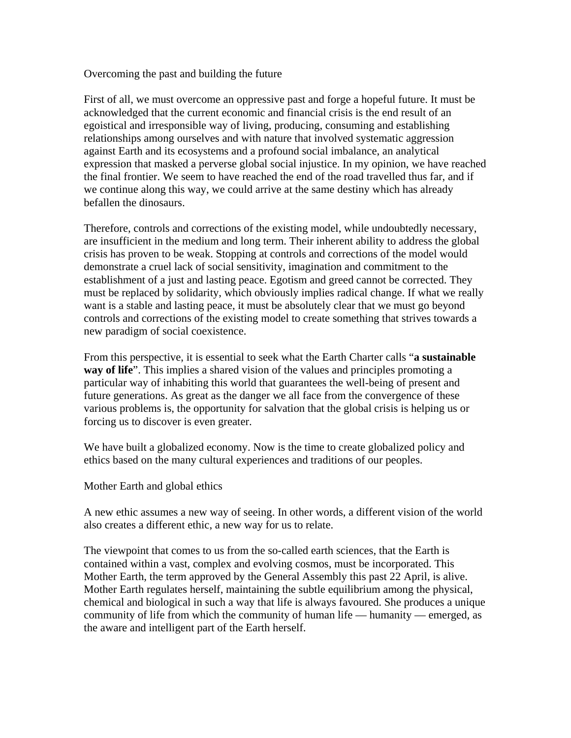## Overcoming the past and building the future

First of all, we must overcome an oppressive past and forge a hopeful future. It must be acknowledged that the current economic and financial crisis is the end result of an egoistical and irresponsible way of living, producing, consuming and establishing relationships among ourselves and with nature that involved systematic aggression against Earth and its ecosystems and a profound social imbalance, an analytical expression that masked a perverse global social injustice. In my opinion, we have reached the final frontier. We seem to have reached the end of the road travelled thus far, and if we continue along this way, we could arrive at the same destiny which has already befallen the dinosaurs.

Therefore, controls and corrections of the existing model, while undoubtedly necessary, are insufficient in the medium and long term. Their inherent ability to address the global crisis has proven to be weak. Stopping at controls and corrections of the model would demonstrate a cruel lack of social sensitivity, imagination and commitment to the establishment of a just and lasting peace. Egotism and greed cannot be corrected. They must be replaced by solidarity, which obviously implies radical change. If what we really want is a stable and lasting peace, it must be absolutely clear that we must go beyond controls and corrections of the existing model to create something that strives towards a new paradigm of social coexistence.

From this perspective, it is essential to seek what the Earth Charter calls "**a sustainable way of life**". This implies a shared vision of the values and principles promoting a particular way of inhabiting this world that guarantees the well-being of present and future generations. As great as the danger we all face from the convergence of these various problems is, the opportunity for salvation that the global crisis is helping us or forcing us to discover is even greater.

We have built a globalized economy. Now is the time to create globalized policy and ethics based on the many cultural experiences and traditions of our peoples.

Mother Earth and global ethics

A new ethic assumes a new way of seeing. In other words, a different vision of the world also creates a different ethic, a new way for us to relate.

The viewpoint that comes to us from the so-called earth sciences, that the Earth is contained within a vast, complex and evolving cosmos, must be incorporated. This Mother Earth, the term approved by the General Assembly this past 22 April, is alive. Mother Earth regulates herself, maintaining the subtle equilibrium among the physical, chemical and biological in such a way that life is always favoured. She produces a unique community of life from which the community of human life — humanity — emerged, as the aware and intelligent part of the Earth herself.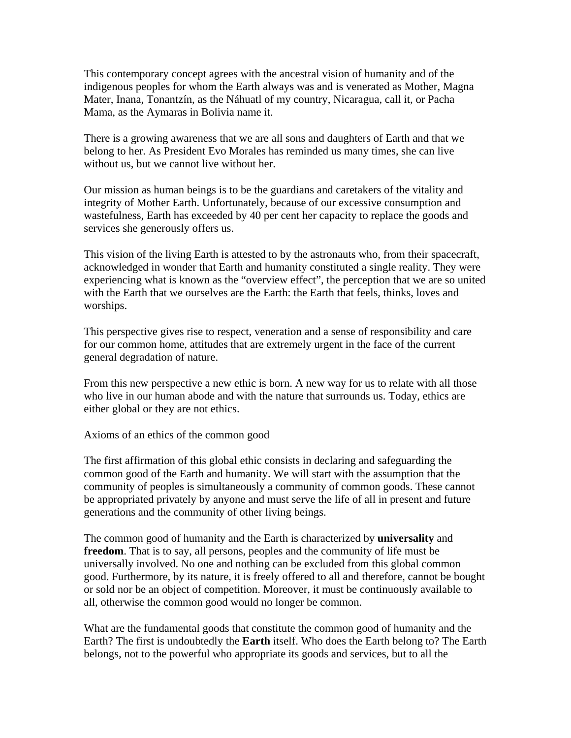This contemporary concept agrees with the ancestral vision of humanity and of the indigenous peoples for whom the Earth always was and is venerated as Mother, Magna Mater, Inana, Tonantzín, as the Náhuatl of my country, Nicaragua, call it, or Pacha Mama, as the Aymaras in Bolivia name it.

There is a growing awareness that we are all sons and daughters of Earth and that we belong to her. As President Evo Morales has reminded us many times, she can live without us, but we cannot live without her.

Our mission as human beings is to be the guardians and caretakers of the vitality and integrity of Mother Earth. Unfortunately, because of our excessive consumption and wastefulness, Earth has exceeded by 40 per cent her capacity to replace the goods and services she generously offers us.

This vision of the living Earth is attested to by the astronauts who, from their spacecraft, acknowledged in wonder that Earth and humanity constituted a single reality. They were experiencing what is known as the "overview effect", the perception that we are so united with the Earth that we ourselves are the Earth: the Earth that feels, thinks, loves and worships.

This perspective gives rise to respect, veneration and a sense of responsibility and care for our common home, attitudes that are extremely urgent in the face of the current general degradation of nature.

From this new perspective a new ethic is born. A new way for us to relate with all those who live in our human abode and with the nature that surrounds us. Today, ethics are either global or they are not ethics.

Axioms of an ethics of the common good

The first affirmation of this global ethic consists in declaring and safeguarding the common good of the Earth and humanity. We will start with the assumption that the community of peoples is simultaneously a community of common goods. These cannot be appropriated privately by anyone and must serve the life of all in present and future generations and the community of other living beings.

The common good of humanity and the Earth is characterized by **universality** and **freedom**. That is to say, all persons, peoples and the community of life must be universally involved. No one and nothing can be excluded from this global common good. Furthermore, by its nature, it is freely offered to all and therefore, cannot be bought or sold nor be an object of competition. Moreover, it must be continuously available to all, otherwise the common good would no longer be common.

What are the fundamental goods that constitute the common good of humanity and the Earth? The first is undoubtedly the **Earth** itself. Who does the Earth belong to? The Earth belongs, not to the powerful who appropriate its goods and services, but to all the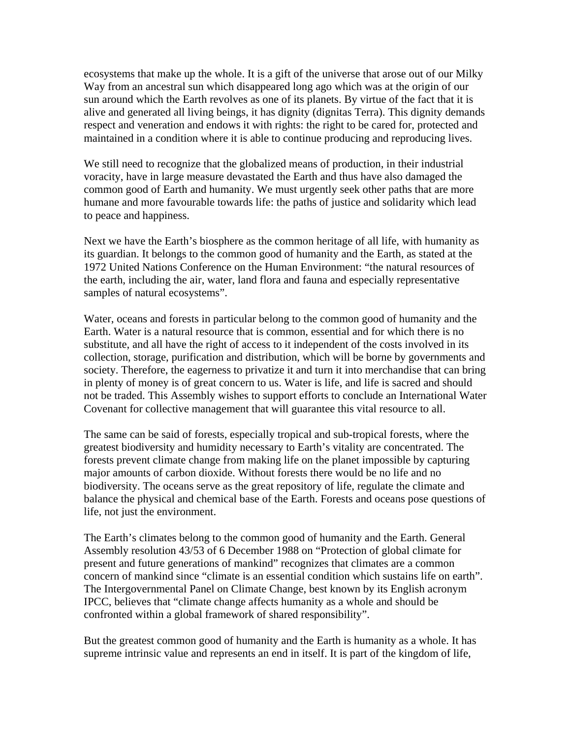ecosystems that make up the whole. It is a gift of the universe that arose out of our Milky Way from an ancestral sun which disappeared long ago which was at the origin of our sun around which the Earth revolves as one of its planets. By virtue of the fact that it is alive and generated all living beings, it has dignity (dignitas Terra). This dignity demands respect and veneration and endows it with rights: the right to be cared for, protected and maintained in a condition where it is able to continue producing and reproducing lives.

We still need to recognize that the globalized means of production, in their industrial voracity, have in large measure devastated the Earth and thus have also damaged the common good of Earth and humanity. We must urgently seek other paths that are more humane and more favourable towards life: the paths of justice and solidarity which lead to peace and happiness.

Next we have the Earth's biosphere as the common heritage of all life, with humanity as its guardian. It belongs to the common good of humanity and the Earth, as stated at the 1972 United Nations Conference on the Human Environment: "the natural resources of the earth, including the air, water, land flora and fauna and especially representative samples of natural ecosystems".

Water, oceans and forests in particular belong to the common good of humanity and the Earth. Water is a natural resource that is common, essential and for which there is no substitute, and all have the right of access to it independent of the costs involved in its collection, storage, purification and distribution, which will be borne by governments and society. Therefore, the eagerness to privatize it and turn it into merchandise that can bring in plenty of money is of great concern to us. Water is life, and life is sacred and should not be traded. This Assembly wishes to support efforts to conclude an International Water Covenant for collective management that will guarantee this vital resource to all.

The same can be said of forests, especially tropical and sub-tropical forests, where the greatest biodiversity and humidity necessary to Earth's vitality are concentrated. The forests prevent climate change from making life on the planet impossible by capturing major amounts of carbon dioxide. Without forests there would be no life and no biodiversity. The oceans serve as the great repository of life, regulate the climate and balance the physical and chemical base of the Earth. Forests and oceans pose questions of life, not just the environment.

The Earth's climates belong to the common good of humanity and the Earth. General Assembly resolution 43/53 of 6 December 1988 on "Protection of global climate for present and future generations of mankind" recognizes that climates are a common concern of mankind since "climate is an essential condition which sustains life on earth". The Intergovernmental Panel on Climate Change, best known by its English acronym IPCC, believes that "climate change affects humanity as a whole and should be confronted within a global framework of shared responsibility".

But the greatest common good of humanity and the Earth is humanity as a whole. It has supreme intrinsic value and represents an end in itself. It is part of the kingdom of life,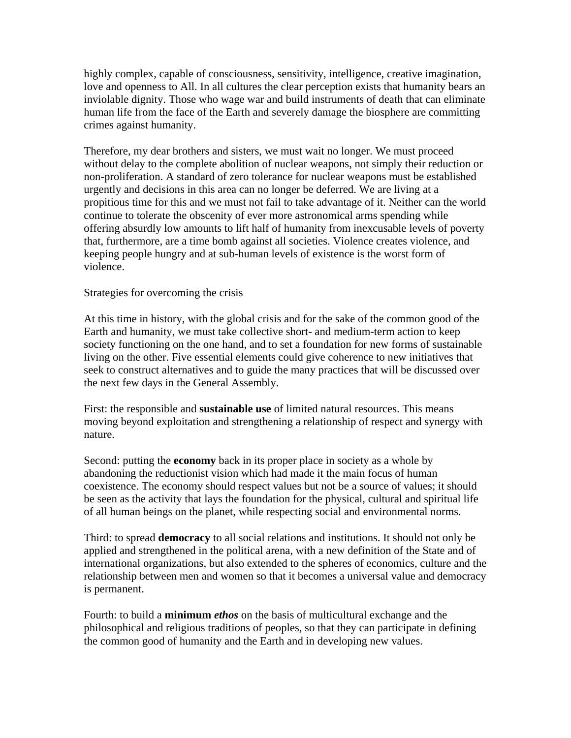highly complex, capable of consciousness, sensitivity, intelligence, creative imagination, love and openness to All. In all cultures the clear perception exists that humanity bears an inviolable dignity. Those who wage war and build instruments of death that can eliminate human life from the face of the Earth and severely damage the biosphere are committing crimes against humanity.

Therefore, my dear brothers and sisters, we must wait no longer. We must proceed without delay to the complete abolition of nuclear weapons, not simply their reduction or non-proliferation. A standard of zero tolerance for nuclear weapons must be established urgently and decisions in this area can no longer be deferred. We are living at a propitious time for this and we must not fail to take advantage of it. Neither can the world continue to tolerate the obscenity of ever more astronomical arms spending while offering absurdly low amounts to lift half of humanity from inexcusable levels of poverty that, furthermore, are a time bomb against all societies. Violence creates violence, and keeping people hungry and at sub-human levels of existence is the worst form of violence.

## Strategies for overcoming the crisis

At this time in history, with the global crisis and for the sake of the common good of the Earth and humanity, we must take collective short- and medium-term action to keep society functioning on the one hand, and to set a foundation for new forms of sustainable living on the other. Five essential elements could give coherence to new initiatives that seek to construct alternatives and to guide the many practices that will be discussed over the next few days in the General Assembly.

First: the responsible and **sustainable use** of limited natural resources. This means moving beyond exploitation and strengthening a relationship of respect and synergy with nature.

Second: putting the **economy** back in its proper place in society as a whole by abandoning the reductionist vision which had made it the main focus of human coexistence. The economy should respect values but not be a source of values; it should be seen as the activity that lays the foundation for the physical, cultural and spiritual life of all human beings on the planet, while respecting social and environmental norms.

Third: to spread **democracy** to all social relations and institutions. It should not only be applied and strengthened in the political arena, with a new definition of the State and of international organizations, but also extended to the spheres of economics, culture and the relationship between men and women so that it becomes a universal value and democracy is permanent.

Fourth: to build a **minimum** *ethos* on the basis of multicultural exchange and the philosophical and religious traditions of peoples, so that they can participate in defining the common good of humanity and the Earth and in developing new values.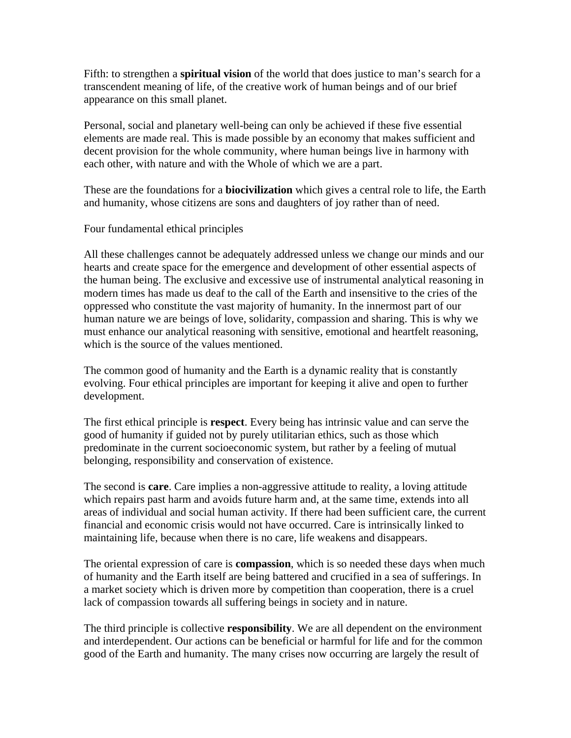Fifth: to strengthen a **spiritual vision** of the world that does justice to man's search for a transcendent meaning of life, of the creative work of human beings and of our brief appearance on this small planet.

Personal, social and planetary well-being can only be achieved if these five essential elements are made real. This is made possible by an economy that makes sufficient and decent provision for the whole community, where human beings live in harmony with each other, with nature and with the Whole of which we are a part.

These are the foundations for a **biocivilization** which gives a central role to life, the Earth and humanity, whose citizens are sons and daughters of joy rather than of need.

Four fundamental ethical principles

All these challenges cannot be adequately addressed unless we change our minds and our hearts and create space for the emergence and development of other essential aspects of the human being. The exclusive and excessive use of instrumental analytical reasoning in modern times has made us deaf to the call of the Earth and insensitive to the cries of the oppressed who constitute the vast majority of humanity. In the innermost part of our human nature we are beings of love, solidarity, compassion and sharing. This is why we must enhance our analytical reasoning with sensitive, emotional and heartfelt reasoning, which is the source of the values mentioned.

The common good of humanity and the Earth is a dynamic reality that is constantly evolving. Four ethical principles are important for keeping it alive and open to further development.

The first ethical principle is **respect**. Every being has intrinsic value and can serve the good of humanity if guided not by purely utilitarian ethics, such as those which predominate in the current socioeconomic system, but rather by a feeling of mutual belonging, responsibility and conservation of existence.

The second is **care**. Care implies a non-aggressive attitude to reality, a loving attitude which repairs past harm and avoids future harm and, at the same time, extends into all areas of individual and social human activity. If there had been sufficient care, the current financial and economic crisis would not have occurred. Care is intrinsically linked to maintaining life, because when there is no care, life weakens and disappears.

The oriental expression of care is **compassion**, which is so needed these days when much of humanity and the Earth itself are being battered and crucified in a sea of sufferings. In a market society which is driven more by competition than cooperation, there is a cruel lack of compassion towards all suffering beings in society and in nature.

The third principle is collective **responsibility**. We are all dependent on the environment and interdependent. Our actions can be beneficial or harmful for life and for the common good of the Earth and humanity. The many crises now occurring are largely the result of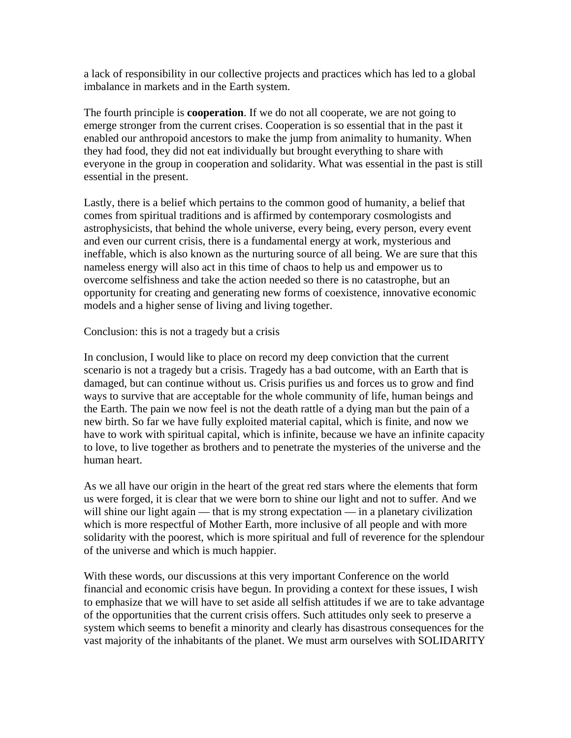a lack of responsibility in our collective projects and practices which has led to a global imbalance in markets and in the Earth system.

The fourth principle is **cooperation**. If we do not all cooperate, we are not going to emerge stronger from the current crises. Cooperation is so essential that in the past it enabled our anthropoid ancestors to make the jump from animality to humanity. When they had food, they did not eat individually but brought everything to share with everyone in the group in cooperation and solidarity. What was essential in the past is still essential in the present.

Lastly, there is a belief which pertains to the common good of humanity, a belief that comes from spiritual traditions and is affirmed by contemporary cosmologists and astrophysicists, that behind the whole universe, every being, every person, every event and even our current crisis, there is a fundamental energy at work, mysterious and ineffable, which is also known as the nurturing source of all being. We are sure that this nameless energy will also act in this time of chaos to help us and empower us to overcome selfishness and take the action needed so there is no catastrophe, but an opportunity for creating and generating new forms of coexistence, innovative economic models and a higher sense of living and living together.

Conclusion: this is not a tragedy but a crisis

In conclusion, I would like to place on record my deep conviction that the current scenario is not a tragedy but a crisis. Tragedy has a bad outcome, with an Earth that is damaged, but can continue without us. Crisis purifies us and forces us to grow and find ways to survive that are acceptable for the whole community of life, human beings and the Earth. The pain we now feel is not the death rattle of a dying man but the pain of a new birth. So far we have fully exploited material capital, which is finite, and now we have to work with spiritual capital, which is infinite, because we have an infinite capacity to love, to live together as brothers and to penetrate the mysteries of the universe and the human heart.

As we all have our origin in the heart of the great red stars where the elements that form us were forged, it is clear that we were born to shine our light and not to suffer. And we will shine our light again — that is my strong expectation — in a planetary civilization which is more respectful of Mother Earth, more inclusive of all people and with more solidarity with the poorest, which is more spiritual and full of reverence for the splendour of the universe and which is much happier.

With these words, our discussions at this very important Conference on the world financial and economic crisis have begun. In providing a context for these issues, I wish to emphasize that we will have to set aside all selfish attitudes if we are to take advantage of the opportunities that the current crisis offers. Such attitudes only seek to preserve a system which seems to benefit a minority and clearly has disastrous consequences for the vast majority of the inhabitants of the planet. We must arm ourselves with SOLIDARITY